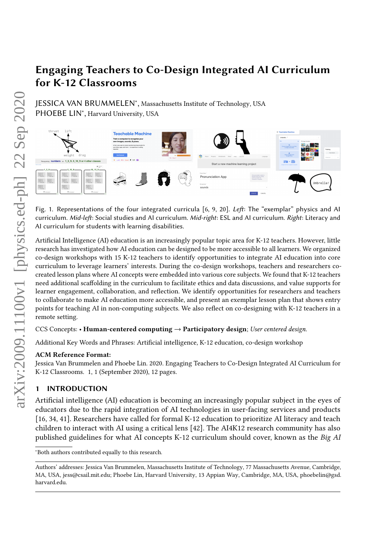# Engaging Teachers to Co-Design Integrated AI Curriculum for K-12 Classrooms

JESSICA VAN BRUMMELEN<sup>∗</sup> , Massachusetts Institute of Technology, USA PHOEBE LIN<sup>\*</sup>, Harvard University, USA

<span id="page-0-0"></span>

Fig. 1. Representations of the four integrated curricula [\[6,](#page-10-0) [9,](#page-10-1) [20\]](#page-10-2). Left: The "exemplar" physics and AI curriculum. Mid-left: Social studies and AI curriculum. Mid-right: ESL and AI curriculum. Right: Literacy and AI curriculum for students with learning disabilities.

Artificial Intelligence (AI) education is an increasingly popular topic area for K-12 teachers. However, little research has investigated how AI education can be designed to be more accessible to all learners. We organized co-design workshops with 15 K-12 teachers to identify opportunities to integrate AI education into core curriculum to leverage learners' interests. During the co-design workshops, teachers and researchers cocreated lesson plans where AI concepts were embedded into various core subjects. We found that K-12 teachers need additional scaffolding in the curriculum to facilitate ethics and data discussions, and value supports for learner engagement, collaboration, and reflection. We identify opportunities for researchers and teachers to collaborate to make AI education more accessible, and present an exemplar lesson plan that shows entry points for teaching AI in non-computing subjects. We also reflect on co-designing with K-12 teachers in a remote setting.

CCS Concepts: • Human-centered computing  $\rightarrow$  Participatory design; User centered design.

Additional Key Words and Phrases: Artificial intelligence, K-12 education, co-design workshop

# ACM Reference Format:

Jessica Van Brummelen and Phoebe Lin. 2020. Engaging Teachers to Co-Design Integrated AI Curriculum for K-12 Classrooms. 1, 1 (September 2020), [12](#page-11-0) pages.

# 1 INTRODUCTION

Artificial intelligence (AI) education is becoming an increasingly popular subject in the eyes of educators due to the rapid integration of AI technologies in user-facing services and products [\[16,](#page-10-3) [34,](#page-11-1) [41\]](#page-11-2). Researchers have called for formal K-12 education to prioritize AI literacy and teach children to interact with AI using a critical lens [\[42\]](#page-11-3). The AI4K12 research community has also published guidelines for what AI concepts K-12 curriculum should cover, known as the Big AI

<sup>∗</sup>Both authors contributed equally to this research.

Authors' addresses: Jessica Van Brummelen, Massachusetts Institute of Technology, 77 Massachusetts Avenue, Cambridge, MA, USA, jess@csail.mit.edu; Phoebe Lin, Harvard University, 13 Appian Way, Cambridge, MA, USA, phoebelin@gsd. harvard.edu.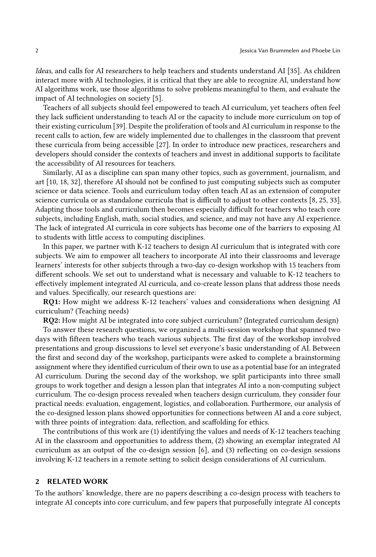Ideas, and calls for AI researchers to help teachers and students understand AI [\[35\]](#page-11-4). As children interact more with AI technologies, it is critical that they are able to recognize AI, understand how AI algorithms work, use those algorithms to solve problems meaningful to them, and evaluate the impact of AI technologies on society [\[5\]](#page-10-4).

Teachers of all subjects should feel empowered to teach AI curriculum, yet teachers often feel they lack sufficient understanding to teach AI or the capacity to include more curriculum on top of their existing curriculum [\[39\]](#page-11-5). Despite the proliferation of tools and AI curriculum in response to the recent calls to action, few are widely implemented due to challenges in the classroom that prevent these curricula from being accessible [\[27\]](#page-11-6). In order to introduce new practices, researchers and developers should consider the contexts of teachers and invest in additional supports to facilitate the accessibility of AI resources for teachers.

Similarly, AI as a discipline can span many other topics, such as government, journalism, and art [\[10,](#page-10-5) [18,](#page-10-6) [32\]](#page-11-7), therefore AI should not be confined to just computing subjects such as computer science or data science. Tools and curriculum today often teach AI as an extension of computer science curricula or as standalone curricula that is difficult to adjust to other contexts [\[8,](#page-10-7) [25,](#page-11-8) [33\]](#page-11-9). Adapting those tools and curriculum then becomes especially difficult for teachers who teach core subjects, including English, math, social studies, and science, and may not have any AI experience. The lack of integrated AI curricula in core subjects has become one of the barriers to exposing AI to students with little access to computing disciplines.

In this paper, we partner with K-12 teachers to design AI curriculum that is integrated with core subjects. We aim to empower all teachers to incorporate AI into their classrooms and leverage learners' interests for other subjects through a two-day co-design workshop with 15 teachers from different schools. We set out to understand what is necessary and valuable to K-12 teachers to effectively implement integrated AI curricula, and co-create lesson plans that address those needs and values. Specifically, our research questions are:

<span id="page-1-0"></span>RQ1: How might we address K-12 teachers' values and considerations when designing AI curriculum? (Teaching needs)

<span id="page-1-1"></span>RQ2: How might AI be integrated into core subject curriculum? (Integrated curriculum design) To answer these research questions, we organized a multi-session workshop that spanned two days with fifteen teachers who teach various subjects. The first day of the workshop involved presentations and group discussions to level set everyone's basic understanding of AI. Between the first and second day of the workshop, participants were asked to complete a brainstorming assignment where they identified curriculum of their own to use as a potential base for an integrated AI curriculum. During the second day of the workshop, we split participants into three small groups to work together and design a lesson plan that integrates AI into a non-computing subject curriculum. The co-design process revealed when teachers design curriculum, they consider four practical needs: evaluation, engagement, logistics, and collaboration. Furthermore, our analysis of the co-designed lesson plans showed opportunities for connections between AI and a core subject, with three points of integration: data, reflection, and scaffolding for ethics.

The contributions of this work are (1) identifying the values and needs of K-12 teachers teaching AI in the classroom and opportunities to address them, (2) showing an exemplar integrated AI curriculum as an output of the co-design session [\[6\]](#page-10-0), and (3) reflecting on co-design sessions involving K-12 teachers in a remote setting to solicit design considerations of AI curriculum.

#### 2 RELATED WORK

To the authors' knowledge, there are no papers describing a co-design process with teachers to integrate AI concepts into core curriculum, and few papers that purposefully integrate AI concepts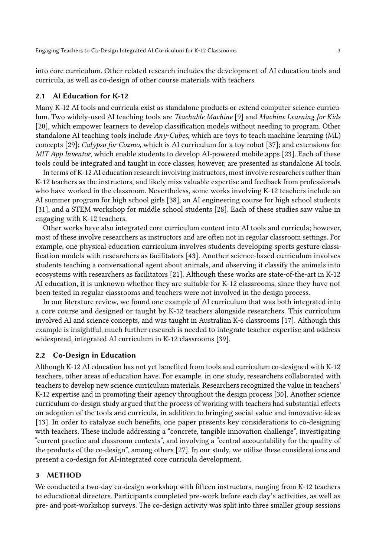into core curriculum. Other related research includes the development of AI education tools and curricula, as well as co-design of other course materials with teachers.

#### 2.1 AI Education for K-12

Many K-12 AI tools and curricula exist as standalone products or extend computer science curriculum. Two widely-used AI teaching tools are Teachable Machine [\[9\]](#page-10-1) and Machine Learning for Kids [\[20\]](#page-10-2), which empower learners to develop classification models without needing to program. Other standalone AI teaching tools include Any-Cubes, which are toys to teach machine learning (ML) concepts [\[29\]](#page-11-10); Calypso for Cozmo, which is AI curriculum for a toy robot [\[37\]](#page-11-11); and extensions for MIT App Inventor, which enable students to develop AI-powered mobile apps [\[23\]](#page-11-12). Each of these tools could be integrated and taught in core classes; however, are presented as standalone AI tools.

In terms of K-12 AI education research involving instructors, most involve researchers rather than K-12 teachers as the instructors, and likely miss valuable expertise and feedback from professionals who have worked in the classroom. Nevertheless, some works involving K-12 teachers include an AI summer program for high school girls [\[38\]](#page-11-13), an AI engineering course for high school students [\[31\]](#page-11-14), and a STEM workshop for middle school students [\[28\]](#page-11-15). Each of these studies saw value in engaging with K-12 teachers.

Other works have also integrated core curriculum content into AI tools and curricula; however, most of these involve researchers as instructors and are often not in regular classroom settings. For example, one physical education curriculum involves students developing sports gesture classification models with researchers as facilitators [\[43\]](#page-11-16). Another science-based curriculum involves students teaching a conversational agent about animals, and observing it classify the animals into ecosystems with researchers as facilitators [\[21\]](#page-10-8). Although these works are state-of-the-art in K-12 AI education, it is unknown whether they are suitable for K-12 classrooms, since they have not been tested in regular classrooms and teachers were not involved in the design process.

In our literature review, we found one example of AI curriculum that was both integrated into a core course and designed or taught by K-12 teachers alongside researchers. This curriculum involved AI and science concepts, and was taught in Australian K-6 classrooms [\[17\]](#page-10-9). Although this example is insightful, much further research is needed to integrate teacher expertise and address widespread, integrated AI curriculum in K-12 classrooms [\[39\]](#page-11-5).

# 2.2 Co-Design in Education

Although K-12 AI education has not yet benefited from tools and curriculum co-designed with K-12 teachers, other areas of education have. For example, in one study, researchers collaborated with teachers to develop new science curriculum materials. Researchers recognized the value in teachers' K-12 expertise and in promoting their agency throughout the design process [\[30\]](#page-11-17). Another science curriculum co-design study argued that the process of working with teachers had substantial effects on adoption of the tools and curricula, in addition to bringing social value and innovative ideas [\[13\]](#page-10-10). In order to catalyze such benefits, one paper presents key considerations to co-designing with teachers. These include addressing a "concrete, tangible innovation challenge", investigating "current practice and classroom contexts", and involving a "central accountability for the quality of the products of the co-design", among others [\[27\]](#page-11-6). In our study, we utilize these considerations and present a co-design for AI-integrated core curricula development.

# 3 METHOD

We conducted a two-day co-design workshop with fifteen instructors, ranging from K-12 teachers to educational directors. Participants completed pre-work before each day's activities, as well as pre- and post-workshop surveys. The co-design activity was split into three smaller group sessions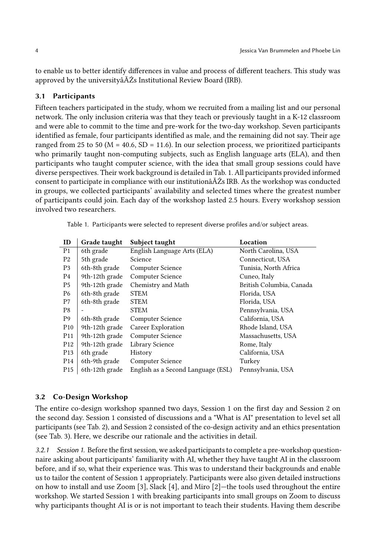to enable us to better identify differences in value and process of different teachers. This study was approved by the universityâĂŹs Institutional Review Board (IRB).

# 3.1 Participants

Fifteen teachers participated in the study, whom we recruited from a mailing list and our personal network. The only inclusion criteria was that they teach or previously taught in a K-12 classroom and were able to commit to the time and pre-work for the two-day workshop. Seven participants identified as female, four participants identified as male, and the remaining did not say. Their age ranged from 25 to 50 ( $M = 40.6$ , SD = 11.6). In our selection process, we prioritized participants who primarily taught non-computing subjects, such as English language arts (ELA), and then participants who taught computer science, with the idea that small group sessions could have diverse perspectives. Their work background is detailed in Tab. [1.](#page-3-0) All participants provided informed consent to participate in compliance with our institutionâĂŹs IRB. As the workshop was conducted in groups, we collected participants' availability and selected times where the greatest number of participants could join. Each day of the workshop lasted 2.5 hours. Every workshop session involved two researchers.

<span id="page-3-0"></span>Table 1. Participants were selected to represent diverse profiles and/or subject areas.

| ID              | Grade taught   | Subject taught                     | Location                 |
|-----------------|----------------|------------------------------------|--------------------------|
| P <sub>1</sub>  | 6th grade      | English Language Arts (ELA)        | North Carolina, USA      |
| P <sub>2</sub>  | 5th grade      | Science                            | Connecticut, USA         |
| P <sub>3</sub>  | 6th-8th grade  | Computer Science                   | Tunisia, North Africa    |
| P <sub>4</sub>  | 9th-12th grade | Computer Science                   | Cuneo, Italy             |
| P <sub>5</sub>  | 9th-12th grade | Chemistry and Math                 | British Columbia, Canada |
| P6              | 6th-8th grade  | <b>STEM</b>                        | Florida, USA             |
| P7              | 6th-8th grade  | <b>STEM</b>                        | Florida, USA             |
| P8              |                | <b>STEM</b>                        | Pennsylvania, USA        |
| P <sub>9</sub>  | 6th-8th grade  | Computer Science                   | California, USA          |
| P <sub>10</sub> | 9th-12th grade | Career Exploration                 | Rhode Island, USA        |
| P <sub>11</sub> | 9th-12th grade | Computer Science                   | Massachusetts, USA       |
| P <sub>12</sub> | 9th-12th grade | Library Science                    | Rome, Italy              |
| P <sub>13</sub> | 6th grade      | History                            | California, USA          |
| P <sub>14</sub> | 6th-9th grade  | Computer Science                   | Turkey                   |
| P <sub>15</sub> | 6th-12th grade | English as a Second Language (ESL) | Pennsylvania, USA        |

#### 3.2 Co-Design Workshop

The entire co-design workshop spanned two days, Session 1 on the first day and Session 2 on the second day. Session 1 consisted of discussions and a "What is AI" presentation to level set all participants (see Tab. [2\)](#page-4-0), and Session 2 consisted of the co-design activity and an ethics presentation (see Tab. [3\)](#page-5-0). Here, we describe our rationale and the activities in detail.

3.2.1 Session 1. Before the first session, we asked participants to complete a pre-workshop questionnaire asking about participants' familiarity with AI, whether they have taught AI in the classroom before, and if so, what their experience was. This was to understand their backgrounds and enable us to tailor the content of Session 1 appropriately. Participants were also given detailed instructions on how to install and use Zoom [\[3\]](#page-10-11), Slack [\[4\]](#page-10-12), and Miro [\[2\]](#page-10-13)—the tools used throughout the entire workshop. We started Session 1 with breaking participants into small groups on Zoom to discuss why participants thought AI is or is not important to teach their students. Having them describe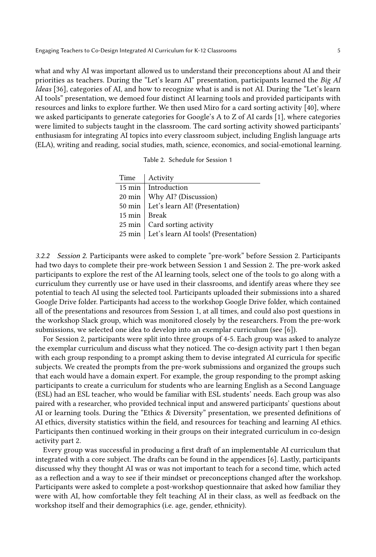Engaging Teachers to Co-Design Integrated AI Curriculum for K-12 Classrooms 5

what and why AI was important allowed us to understand their preconceptions about AI and their priorities as teachers. During the "Let's learn AI" presentation, participants learned the Big AI Ideas [\[36\]](#page-11-18), categories of AI, and how to recognize what is and is not AI. During the "Let's learn AI tools" presentation, we demoed four distinct AI learning tools and provided participants with resources and links to explore further. We then used Miro for a card sorting activity [\[40\]](#page-11-19), where we asked participants to generate categories for Google's A to Z of AI cards [\[1\]](#page-10-14), where categories were limited to subjects taught in the classroom. The card sorting activity showed participants' enthusiasm for integrating AI topics into every classroom subject, including English language arts (ELA), writing and reading, social studies, math, science, economics, and social-emotional learning.

| Table 2. Schedule for Session 1 |  |  |
|---------------------------------|--|--|
|                                 |  |  |

<span id="page-4-0"></span>

| Time           | Activity                                      |
|----------------|-----------------------------------------------|
|                | 15 min   Introduction                         |
|                | 20 min   Why AI? (Discussion)                 |
|                | 50 min   Let's learn AI! (Presentation)       |
| 15 min   Break |                                               |
|                | 25 min   Card sorting activity                |
|                | 25 min   Let's learn AI tools! (Presentation) |
|                |                                               |

3.2.2 Session 2. Participants were asked to complete "pre-work" before Session 2. Participants had two days to complete their pre-work between Session 1 and Session 2. The pre-work asked participants to explore the rest of the AI learning tools, select one of the tools to go along with a curriculum they currently use or have used in their classrooms, and identify areas where they see potential to teach AI using the selected tool. Participants uploaded their submissions into a shared Google Drive folder. Participants had access to the workshop Google Drive folder, which contained all of the presentations and resources from Session 1, at all times, and could also post questions in the workshop Slack group, which was monitored closely by the researchers. From the pre-work submissions, we selected one idea to develop into an exemplar curriculum (see [\[6\]](#page-10-0)).

For Session 2, participants were split into three groups of 4-5. Each group was asked to analyze the exemplar curriculum and discuss what they noticed. The co-design activity part 1 then began with each group responding to a prompt asking them to devise integrated AI curricula for specific subjects. We created the prompts from the pre-work submissions and organized the groups such that each would have a domain expert. For example, the group responding to the prompt asking participants to create a curriculum for students who are learning English as a Second Language (ESL) had an ESL teacher, who would be familiar with ESL students' needs. Each group was also paired with a researcher, who provided technical input and answered participants' questions about AI or learning tools. During the "Ethics & Diversity" presentation, we presented definitions of AI ethics, diversity statistics within the field, and resources for teaching and learning AI ethics. Participants then continued working in their groups on their integrated curriculum in co-design activity part 2.

Every group was successful in producing a first draft of an implementable AI curriculum that integrated with a core subject. The drafts can be found in the appendices [\[6\]](#page-10-0). Lastly, participants discussed why they thought AI was or was not important to teach for a second time, which acted as a reflection and a way to see if their mindset or preconceptions changed after the workshop. Participants were asked to complete a post-workshop questionnaire that asked how familiar they were with AI, how comfortable they felt teaching AI in their class, as well as feedback on the workshop itself and their demographics (i.e. age, gender, ethnicity).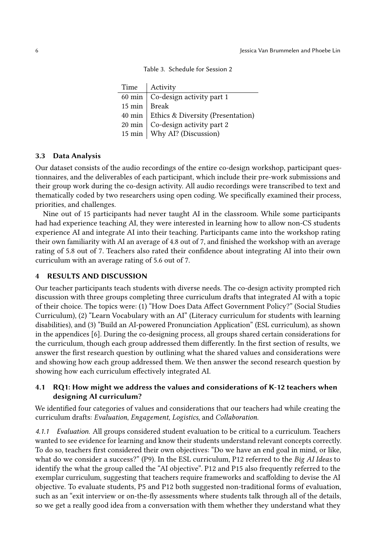Table 3. Schedule for Session 2

<span id="page-5-0"></span>

| Time   Activity                            |
|--------------------------------------------|
| 60 min   Co-design activity part 1         |
| 15 min   Break                             |
| 40 min   Ethics & Diversity (Presentation) |
| 20 min   Co-design activity part 2         |
| 15 min   Why AI? (Discussion)              |
|                                            |

#### 3.3 Data Analysis

Our dataset consists of the audio recordings of the entire co-design workshop, participant questionnaires, and the deliverables of each participant, which include their pre-work submissions and their group work during the co-design activity. All audio recordings were transcribed to text and thematically coded by two researchers using open coding. We specifically examined their process, priorities, and challenges.

Nine out of 15 participants had never taught AI in the classroom. While some participants had had experience teaching AI, they were interested in learning how to allow non-CS students experience AI and integrate AI into their teaching. Participants came into the workshop rating their own familiarity with AI an average of 4.8 out of 7, and finished the workshop with an average rating of 5.8 out of 7. Teachers also rated their confidence about integrating AI into their own curriculum with an average rating of 5.6 out of 7.

#### 4 RESULTS AND DISCUSSION

Our teacher participants teach students with diverse needs. The co-design activity prompted rich discussion with three groups completing three curriculum drafts that integrated AI with a topic of their choice. The topics were: (1) "How Does Data Affect Government Policy?" (Social Studies Curriculum), (2) "Learn Vocabulary with an AI" (Literacy curriculum for students with learning disabilities), and (3) "Build an AI-powered Pronunciation Application" (ESL curriculum), as shown in the appendices [\[6\]](#page-10-0). During the co-designing process, all groups shared certain considerations for the curriculum, though each group addressed them differently. In the first section of results, we answer the first research question by outlining what the shared values and considerations were and showing how each group addressed them. We then answer the second research question by showing how each curriculum effectively integrated AI.

# 4.1 R[Q1:](#page-1-0) How might we address the values and considerations of K-12 teachers when designing AI curriculum?

We identified four categories of values and considerations that our teachers had while creating the curriculum drafts: Evaluation, Engagement, Logistics, and Collaboration.

4.1.1 Evaluation. All groups considered student evaluation to be critical to a curriculum. Teachers wanted to see evidence for learning and know their students understand relevant concepts correctly. To do so, teachers first considered their own objectives: "Do we have an end goal in mind, or like, what do we consider a success?" (P9). In the ESL curriculum, P12 referred to the Big AI Ideas to identify the what the group called the "AI objective". P12 and P15 also frequently referred to the exemplar curriculum, suggesting that teachers require frameworks and scaffolding to devise the AI objective. To evaluate students, P5 and P12 both suggested non-traditional forms of evaluation, such as an "exit interview or on-the-fly assessments where students talk through all of the details, so we get a really good idea from a conversation with them whether they understand what they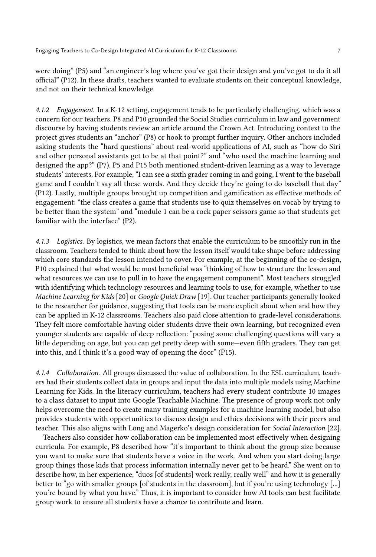were doing" (P5) and "an engineer's log where you've got their design and you've got to do it all official" (P12). In these drafts, teachers wanted to evaluate students on their conceptual knowledge, and not on their technical knowledge.

4.1.2 Engagement. In a K-12 setting, engagement tends to be particularly challenging, which was a concern for our teachers. P8 and P10 grounded the Social Studies curriculum in law and government discourse by having students review an article around the Crown Act. Introducing context to the project gives students an "anchor" (P8) or hook to prompt further inquiry. Other anchors included asking students the "hard questions" about real-world applications of AI, such as "how do Siri and other personal assistants get to be at that point?" and "who used the machine learning and designed the app?" (P7). P5 and P15 both mentioned student-driven learning as a way to leverage students' interests. For example, "I can see a sixth grader coming in and going, I went to the baseball game and I couldn't say all these words. And they decide they're going to do baseball that day" (P12). Lastly, multiple groups brought up competition and gamification as effective methods of engagement: "the class creates a game that students use to quiz themselves on vocab by trying to be better than the system" and "module 1 can be a rock paper scissors game so that students get familiar with the interface" (P2).

4.1.3 Logistics. By logistics, we mean factors that enable the curriculum to be smoothly run in the classroom. Teachers tended to think about how the lesson itself would take shape before addressing which core standards the lesson intended to cover. For example, at the beginning of the co-design, P10 explained that what would be most beneficial was "thinking of how to structure the lesson and what resources we can use to pull in to have the engagement component". Most teachers struggled with identifying which technology resources and learning tools to use, for example, whether to use Machine Learning for Kids [\[20\]](#page-10-2) or Google Quick Draw [\[19\]](#page-10-15). Our teacher participants generally looked to the researcher for guidance, suggesting that tools can be more explicit about when and how they can be applied in K-12 classrooms. Teachers also paid close attention to grade-level considerations. They felt more comfortable having older students drive their own learning, but recognized even younger students are capable of deep reflection: "posing some challenging questions will vary a little depending on age, but you can get pretty deep with some—even fifth graders. They can get into this, and I think it's a good way of opening the door" (P15).

4.1.4 Collaboration. All groups discussed the value of collaboration. In the ESL curriculum, teachers had their students collect data in groups and input the data into multiple models using Machine Learning for Kids. In the literacy curriculum, teachers had every student contribute 10 images to a class dataset to input into Google Teachable Machine. The presence of group work not only helps overcome the need to create many training examples for a machine learning model, but also provides students with opportunities to discuss design and ethics decisions with their peers and teacher. This also aligns with Long and Magerko's design consideration for Social Interaction [\[22\]](#page-11-20).

Teachers also consider how collaboration can be implemented most effectively when designing curricula. For example, P8 described how "it's important to think about the group size because you want to make sure that students have a voice in the work. And when you start doing large group things those kids that process information internally never get to be heard." She went on to describe how, in her experience, "duos [of students] work really, really well" and how it is generally better to "go with smaller groups [of students in the classroom], but if you're using technology [...] you're bound by what you have." Thus, it is important to consider how AI tools can best facilitate group work to ensure all students have a chance to contribute and learn.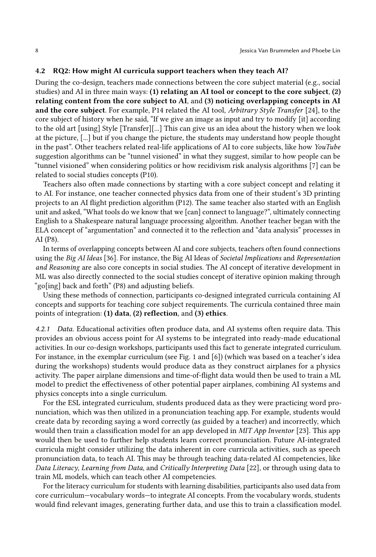#### 4.2 R[Q2:](#page-1-1) How might AI curricula support teachers when they teach AI?

During the co-design, teachers made connections between the core subject material (e.g., social studies) and AI in three main ways: (1) relating an AI tool or concept to the core subject, (2) relating content from the core subject to AI, and (3) noticing overlapping concepts in AI and the core subject. For example, P14 related the AI tool, Arbitrary Style Transfer [\[24\]](#page-11-21), to the core subject of history when he said, "If we give an image as input and try to modify [it] according to the old art [using] Style [Transfer][...] This can give us an idea about the history when we look at the picture, [...] but if you change the picture, the students may understand how people thought in the past". Other teachers related real-life applications of AI to core subjects, like how YouTube suggestion algorithms can be "tunnel visioned" in what they suggest, similar to how people can be "tunnel visioned" when considering politics or how recidivism risk analysis algorithms [\[7\]](#page-10-16) can be related to social studies concepts (P10).

Teachers also often made connections by starting with a core subject concept and relating it to AI. For instance, one teacher connected physics data from one of their student's 3D printing projects to an AI flight prediction algorithm (P12). The same teacher also started with an English unit and asked, "What tools do we know that we [can] connect to language?", ultimately connecting English to a Shakespeare natural language processing algorithm. Another teacher began with the ELA concept of "argumentation" and connected it to the reflection and "data analysis" processes in AI (P8).

In terms of overlapping concepts between AI and core subjects, teachers often found connections using the Big AI Ideas [\[36\]](#page-11-18). For instance, the Big AI Ideas of Societal Implications and Representation and Reasoning are also core concepts in social studies. The AI concept of iterative development in ML was also directly connected to the social studies concept of iterative opinion making through "go[ing] back and forth" (P8) and adjusting beliefs.

Using these methods of connection, participants co-designed integrated curricula containing AI concepts and supports for teaching core subject requirements. The curricula contained three main points of integration: (1) data, (2) reflection, and (3) ethics.

4.2.1 Data. Educational activities often produce data, and AI systems often require data. This provides an obvious access point for AI systems to be integrated into ready-made educational activities. In our co-design workshops, participants used this fact to generate integrated curriculum. For instance, in the exemplar curriculum (see Fig. [1](#page-0-0) and [\[6\]](#page-10-0)) (which was based on a teacher's idea during the workshops) students would produce data as they construct airplanes for a physics activity. The paper airplane dimensions and time-of-flight data would then be used to train a ML model to predict the effectiveness of other potential paper airplanes, combining AI systems and physics concepts into a single curriculum.

For the ESL integrated curriculum, students produced data as they were practicing word pronunciation, which was then utilized in a pronunciation teaching app. For example, students would create data by recording saying a word correctly (as guided by a teacher) and incorrectly, which would then train a classification model for an app developed in *MIT App Inventor* [\[23\]](#page-11-12). This app would then be used to further help students learn correct pronunciation. Future AI-integrated curricula might consider utilizing the data inherent in core curricula activities, such as speech pronunciation data, to teach AI. This may be through teaching data-related AI competencies, like Data Literacy, Learning from Data, and Critically Interpreting Data [\[22\]](#page-11-20), or through using data to train ML models, which can teach other AI competencies.

For the literacy curriculum for students with learning disabilities, participants also used data from core curriculum—vocabulary words—to integrate AI concepts. From the vocabulary words, students would find relevant images, generating further data, and use this to train a classification model.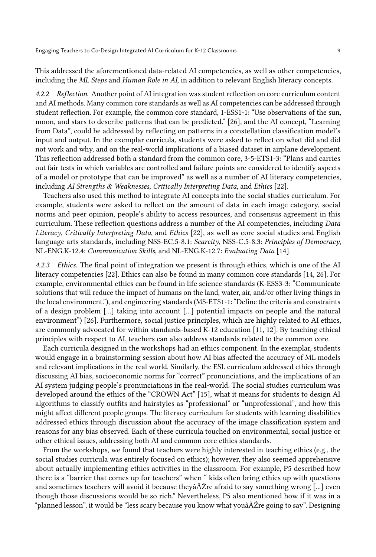This addressed the aforementioned data-related AI competencies, as well as other competencies, including the ML Steps and Human Role in AI, in addition to relevant English literacy concepts.

4.2.2 Reflection. Another point of AI integration was student reflection on core curriculum content and AI methods. Many common core standards as well as AI competencies can be addressed through student reflection. For example, the common core standard, 1-ESS1-1: "Use observations of the sun, moon, and stars to describe patterns that can be predicted." [\[26\]](#page-11-22), and the AI concept, "Learning from Data", could be addressed by reflecting on patterns in a constellation classification model's input and output. In the exemplar curricula, students were asked to reflect on what did and did not work and why, and on the real-world implications of a biased dataset in airplane development. This reflection addressed both a standard from the common core, 3-5-ETS1-3: "Plans and carries out fair tests in which variables are controlled and failure points are considered to identify aspects of a model or prototype that can be improved" as well as a number of AI literacy competencies, including AI Strengths & Weaknesses, Critically Interpreting Data, and Ethics [\[22\]](#page-11-20).

Teachers also used this method to integrate AI concepts into the social studies curriculum. For example, students were asked to reflect on the amount of data in each image category, social norms and peer opinion, people's ability to access resources, and consensus agreement in this curriculum. These reflection questions address a number of the AI competencies, including Data Literacy, Critically Interpreting Data, and Ethics [\[22\]](#page-11-20), as well as core social studies and English language arts standards, including NSS-EC.5-8.1: Scarcity, NSS-C.5-8.3: Principles of Democracy, NL-ENG.K-12.4: Communication Skills, and NL-ENG.K-12.7: Evaluating Data [\[14\]](#page-10-17).

4.2.3 Ethics. The final point of integration we present is through ethics, which is one of the AI literacy competencies [\[22\]](#page-11-20). Ethics can also be found in many common core standards [\[14,](#page-10-17) [26\]](#page-11-22). For example, environmental ethics can be found in life science standards (K-ESS3-3: "Communicate solutions that will reduce the impact of humans on the land, water, air, and/or other living things in the local environment."), and engineering standards (MS-ETS1-1: "Define the criteria and constraints of a design problem [...] taking into account [...] potential impacts on people and the natural environment") [\[26\]](#page-11-22). Furthermore, social justice principles, which are highly related to AI ethics, are commonly advocated for within standards-based K-12 education [\[11,](#page-10-18) [12\]](#page-10-19). By teaching ethical principles with respect to AI, teachers can also address standards related to the common core.

Each curricula designed in the workshops had an ethics component. In the exemplar, students would engage in a brainstorming session about how AI bias affected the accuracy of ML models and relevant implications in the real world. Similarly, the ESL curriculum addressed ethics through discussing AI bias, socioeconomic norms for "correct" pronunciations, and the implications of an AI system judging people's pronunciations in the real-world. The social studies curriculum was developed around the ethics of the "CROWN Act" [\[15\]](#page-10-20), what it means for students to design AI algorithms to classify outfits and hairstyles as "professional" or "unprofessional", and how this might affect different people groups. The literacy curriculum for students with learning disabilities addressed ethics through discussion about the accuracy of the image classification system and reasons for any bias observed. Each of these curricula touched on environmental, social justice or other ethical issues, addressing both AI and common core ethics standards.

From the workshops, we found that teachers were highly interested in teaching ethics (e.g., the social studies curricula was entirely focused on ethics); however, they also seemed apprehensive about actually implementing ethics activities in the classroom. For example, P5 described how there is a "barrier that comes up for teachers" when " kids often bring ethics up with questions and sometimes teachers will avoid it because theyâĂ Zre afraid to say something wrong [...] even though those discussions would be so rich." Nevertheless, P5 also mentioned how if it was in a "planned lesson", it would be "less scary because you know what youâĂŹre going to say". Designing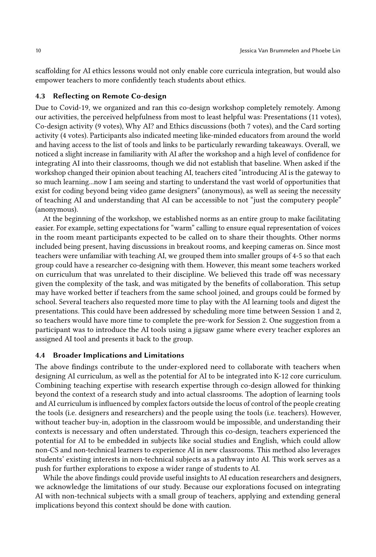scaffolding for AI ethics lessons would not only enable core curricula integration, but would also empower teachers to more confidently teach students about ethics.

# 4.3 Reflecting on Remote Co-design

Due to Covid-19, we organized and ran this co-design workshop completely remotely. Among our activities, the perceived helpfulness from most to least helpful was: Presentations (11 votes), Co-design activity (9 votes), Why AI? and Ethics discussions (both 7 votes), and the Card sorting activity (4 votes). Participants also indicated meeting like-minded educators from around the world and having access to the list of tools and links to be particularly rewarding takeaways. Overall, we noticed a slight increase in familiarity with AI after the workshop and a high level of confidence for integrating AI into their classrooms, though we did not establish that baseline. When asked if the workshop changed their opinion about teaching AI, teachers cited "introducing AI is the gateway to so much learning...now I am seeing and starting to understand the vast world of opportunities that exist for coding beyond being video game designers" (anonymous), as well as seeing the necessity of teaching AI and understanding that AI can be accessible to not "just the computery people" (anonymous).

At the beginning of the workshop, we established norms as an entire group to make facilitating easier. For example, setting expectations for "warm" calling to ensure equal representation of voices in the room meant participants expected to be called on to share their thoughts. Other norms included being present, having discussions in breakout rooms, and keeping cameras on. Since most teachers were unfamiliar with teaching AI, we grouped them into smaller groups of 4-5 so that each group could have a researcher co-designing with them. However, this meant some teachers worked on curriculum that was unrelated to their discipline. We believed this trade off was necessary given the complexity of the task, and was mitigated by the benefits of collaboration. This setup may have worked better if teachers from the same school joined, and groups could be formed by school. Several teachers also requested more time to play with the AI learning tools and digest the presentations. This could have been addressed by scheduling more time between Session 1 and 2, so teachers would have more time to complete the pre-work for Session 2. One suggestion from a participant was to introduce the AI tools using a jigsaw game where every teacher explores an assigned AI tool and presents it back to the group.

#### 4.4 Broader Implications and Limitations

The above findings contribute to the under-explored need to collaborate with teachers when designing AI curriculum, as well as the potential for AI to be integrated into K-12 core curriculum. Combining teaching expertise with research expertise through co-design allowed for thinking beyond the context of a research study and into actual classrooms. The adoption of learning tools and AI curriculum is influenced by complex factors outside the locus of control of the people creating the tools (i.e. designers and researchers) and the people using the tools (i.e. teachers). However, without teacher buy-in, adoption in the classroom would be impossible, and understanding their contexts is necessary and often understated. Through this co-design, teachers experienced the potential for AI to be embedded in subjects like social studies and English, which could allow non-CS and non-technical learners to experience AI in new classrooms. This method also leverages students' existing interests in non-technical subjects as a pathway into AI. This work serves as a push for further explorations to expose a wider range of students to AI.

While the above findings could provide useful insights to AI education researchers and designers, we acknowledge the limitations of our study. Because our explorations focused on integrating AI with non-technical subjects with a small group of teachers, applying and extending general implications beyond this context should be done with caution.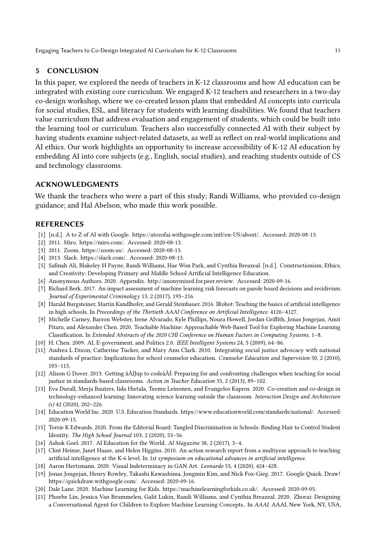# 5 CONCLUSION

In this paper, we explored the needs of teachers in K-12 classrooms and how AI education can be integrated with existing core curriculum. We engaged K-12 teachers and researchers in a two-day co-design workshop, where we co-created lesson plans that embedded AI concepts into curricula for social studies, ESL, and literacy for students with learning disabilities. We found that teachers value curriculum that address evaluation and engagement of students, which could be built into the learning tool or curriculum. Teachers also successfully connected AI with their subject by having students examine subject-related datasets, as well as reflect on real-world implications and AI ethics. Our work highlights an opportunity to increase accessibility of K-12 AI education by embedding AI into core subjects (e.g., English, social studies), and reaching students outside of CS and technology classrooms.

# ACKNOWLEDGMENTS

We thank the teachers who were a part of this study; Randi Williams, who provided co-design guidance; and Hal Abelson, who made this work possible.

# REFERENCES

- <span id="page-10-14"></span>[1] [n.d.]. A to Z of AI with Google. [https://atozofai.withgoogle.com/intl/en-US/about/.](https://atozofai.withgoogle.com/intl/en-US/about/) Accessed: 2020-08-13.
- <span id="page-10-13"></span>[2] 2011. Miro. [https://miro.com/.](https://miro.com/) Accessed: 2020-08-13.
- <span id="page-10-11"></span>[3] 2011. Zoom. [https://zoom.us/.](https://zoom.us/) Accessed: 2020-08-13.
- <span id="page-10-12"></span>[4] 2013. Slack. [https://slack.com/.](https://slack.com/) Accessed: 2020-08-13.
- <span id="page-10-4"></span>[5] Safinah Ali, Blakeley H Payne, Randi Williams, Hae Won Park, and Cynthia Breazeal. [n.d.]. Constructionism, Ethics, and Creativity: Developing Primary and Middle School Artificial Intelligence Education.
- <span id="page-10-0"></span>[6] Anonymous Authors. 2020. Appendix. [http://anonymized.for.peer.review.](http://anonymized.for.peer.review) Accessed: 2020-09-16.
- <span id="page-10-16"></span>[7] Richard Berk. 2017. An impact assessment of machine learning risk forecasts on parole board decisions and recidivism. Journal of Experimental Criminology 13, 2 (2017), 193–216.
- <span id="page-10-7"></span>[8] Harald Burgsteiner, Martin Kandlhofer, and Gerald Steinbauer. 2016. IRobot: Teaching the basics of artificial intelligence in high schools. In Proceedings of the Thirtieth AAAI Conference on Artificial Intelligence. 4126–4127.
- <span id="page-10-1"></span>[9] Michelle Carney, Barron Webster, Irene Alvarado, Kyle Phillips, Noura Howell, Jordan Griffith, Jonas Jongejan, Amit Pitaru, and Alexander Chen. 2020. Teachable Machine: Approachable Web-Based Tool for Exploring Machine Learning Classification. In Extended Abstracts of the 2020 CHI Conference on Human Factors in Computing Systems. 1–8.
- <span id="page-10-5"></span>[10] H. Chen. 2009. AI, E-government, and Politics 2.0. IEEE Intelligent Systems 24, 5 (2009), 64–86.
- <span id="page-10-18"></span>[11] Andrea L Dixon, Catherine Tucker, and Mary Ann Clark. 2010. Integrating social justice advocacy with national standards of practice: Implications for school counselor education. Counselor Education and Supervision 50, 2 (2010), 103–115.
- <span id="page-10-19"></span>[12] Alison G Dover. 2013. Getting âĂIJup to codeâĂİ: Preparing for and confronting challenges when teaching for social justice in standards-based classrooms. Action in Teacher Education 35, 2 (2013), 89–102.
- <span id="page-10-10"></span>[13] Eva Durall, Merja Bauters, Iida Hietala, Teemu Leinonen, and Evangelos Kapros. 2020. Co-creation and co-design in technology-enhanced learning: Innovating science learning outside the classroom. Interaction Design and Architecture (s) 42 (2020), 202–226.
- <span id="page-10-17"></span>[14] Education World Inc. 2020. U.S. Education Standards. [https://www.educationworld.com/standards/national/.](https://www.educationworld.com/standards/national/) Accessed: 2020-09-15.
- <span id="page-10-20"></span>[15] Torrie K Edwards. 2020. From the Editorial Board: Tangled Discrimination in Schools: Binding Hair to Control Student Identity. The High School Journal 103, 2 (2020), 53–56.
- <span id="page-10-3"></span>[16] Ashok Goel. 2017. AI Education for the World. AI Magazine 38, 2 (2017), 3–4.
- <span id="page-10-9"></span>[17] Clint Heinze, Janet Haase, and Helen Higgins. 2010. An action research report from a multiyear approach to teaching artificial intelligence at the K-6 level. In 1st symposium on educational advances in artificial intelligence.
- <span id="page-10-6"></span>[18] Aaron Hertzmann. 2020. Visual Indeterminacy in GAN Art. Leonardo 53, 4 (2020), 424–428.
- <span id="page-10-15"></span>[19] Jonas Jongejan, Henry Rowley, Takashi Kawashima, Jongmin Kim, and Nick Fox-Gieg. 2017. Google Quick, Draw! [https://quickdraw.withgoogle.com/.](https://quickdraw.withgoogle.com/) Accessed: 2020-09-16.
- <span id="page-10-2"></span>[20] Dale Lane. 2020. Machine Learning for Kids. [https://machinelearningforkids.co.uk/.](https://machinelearningforkids.co.uk/) Accessed: 2020-09-05.
- <span id="page-10-8"></span>[21] Phoebe Lin, Jessica Van Brummelen, Galit Lukin, Randi Williams, and Cynthia Breazeal. 2020. Zhorai: Designing a Conversational Agent for Children to Explore Machine Learning Concepts.. In AAAI. AAAI, New York, NY, USA,